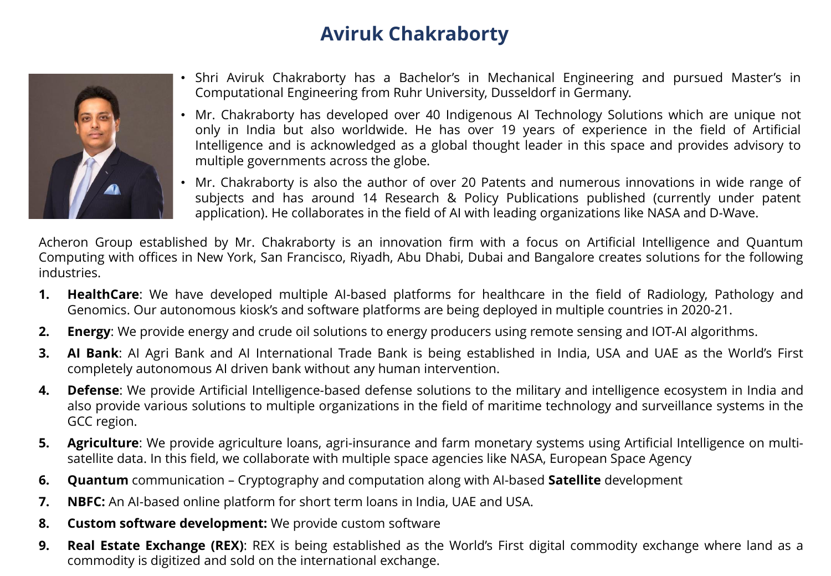

- Shri Aviruk Chakraborty has a Bachelor's in Mechanical Engineering and pursued Master's in Computational Engineering from Ruhr University, Dusseldorf in Germany.
- Mr. Chakraborty has developed over 40 Indigenous AI Technology Solutions which are unique not only in India but also worldwide. He has over 19 years of experience in the field of Artificial Intelligence and is acknowledged as a global thought leader in this space and provides advisory to multiple governments across the globe.
- Mr. Chakraborty is also the author of over 20 Patents and numerous innovations in wide range of subjects and has around 14 Research & Policy Publications published (currently under patent application). He collaborates in the field of AI with leading organizations like NASA and D-Wave.

Acheron Group established by Mr. Chakraborty is an innovation firm with a focus on Artificial Intelligence and Quantum Computing with offices in New York, San Francisco, Riyadh, Abu Dhabi, Dubai and Bangalore creates solutions for the following industries.

- **1. HealthCare**: We have developed multiple AI-based platforms for healthcare in the field of Radiology, Pathology and Genomics. Our autonomous kiosk's and software platforms are being deployed in multiple countries in 2020-21.
- **2. Energy**: We provide energy and crude oil solutions to energy producers using remote sensing and IOT-AI algorithms.
- **3. AI Bank**: AI Agri Bank and AI International Trade Bank is being established in India, USA and UAE as the World's First completely autonomous AI driven bank without any human intervention.
- **4. Defense**: We provide Artificial Intelligence-based defense solutions to the military and intelligence ecosystem in India and also provide various solutions to multiple organizations in the field of maritime technology and surveillance systems in the GCC region.
- **5. Agriculture**: We provide agriculture loans, agri-insurance and farm monetary systems using Artificial Intelligence on multisatellite data. In this field, we collaborate with multiple space agencies like NASA, European Space Agency
- **6. Quantum** communication Cryptography and computation along with AI-based **Satellite** development
- **7. NBFC:** An AI-based online platform for short term loans in India, UAE and USA.
- **8. Custom software development:** We provide custom software
- **9. Real Estate Exchange (REX)**: REX is being established as the World's First digital commodity exchange where land as a commodity is digitized and sold on the international exchange.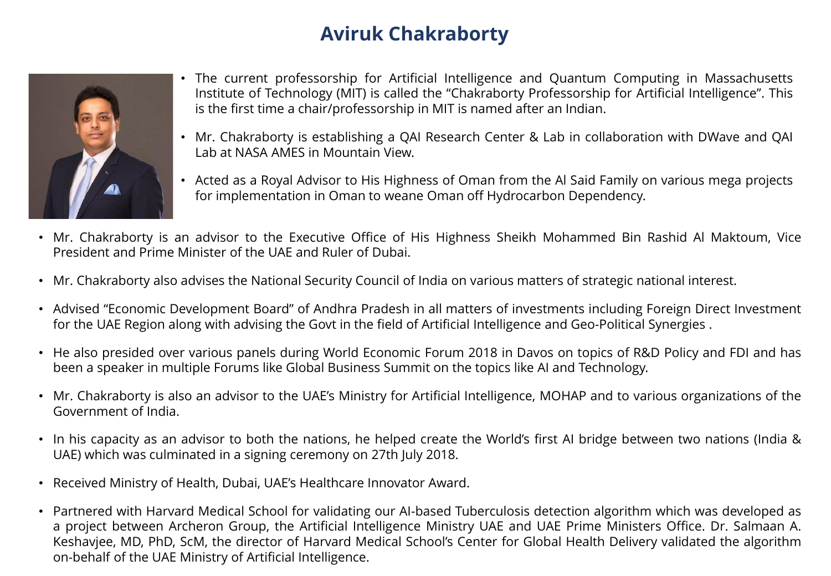

- The current professorship for Artificial Intelligence and Quantum Computing in Massachusetts Institute of Technology (MIT) is called the "Chakraborty Professorship for Artificial Intelligence". This is the first time a chair/professorship in MIT is named after an Indian.
- Mr. Chakraborty is establishing a QAI Research Center & Lab in collaboration with DWave and QAI Lab at NASA AMES in Mountain View.
- Acted as a Royal Advisor to His Highness of Oman from the Al Said Family on various mega projects for implementation in Oman to weane Oman off Hydrocarbon Dependency.
- Mr. Chakraborty is an advisor to the Executive Office of His Highness Sheikh Mohammed Bin Rashid Al Maktoum, Vice President and Prime Minister of the UAE and Ruler of Dubai.
- Mr. Chakraborty also advises the National Security Council of India on various matters of strategic national interest.
- Advised "Economic Development Board" of Andhra Pradesh in all matters of investments including Foreign Direct Investment for the UAE Region along with advising the Govt in the field of Artificial Intelligence and Geo-Political Synergies .
- He also presided over various panels during World Economic Forum 2018 in Davos on topics of R&D Policy and FDI and has been a speaker in multiple Forums like Global Business Summit on the topics like AI and Technology.
- Mr. Chakraborty is also an advisor to the UAE's Ministry for Artificial Intelligence, MOHAP and to various organizations of the Government of India.
- In his capacity as an advisor to both the nations, he helped create the World's first AI bridge between two nations (India & UAE) which was culminated in a signing ceremony on 27th July 2018.
- Received Ministry of Health, Dubai, UAE's Healthcare Innovator Award.
- Partnered with Harvard Medical School for validating our AI-based Tuberculosis detection algorithm which was developed as a project between Archeron Group, the Artificial Intelligence Ministry UAE and UAE Prime Ministers Office. Dr. Salmaan A. Keshavjee, MD, PhD, ScM, the director of Harvard Medical School's Center for Global Health Delivery validated the algorithm on-behalf of the UAE Ministry of Artificial Intelligence.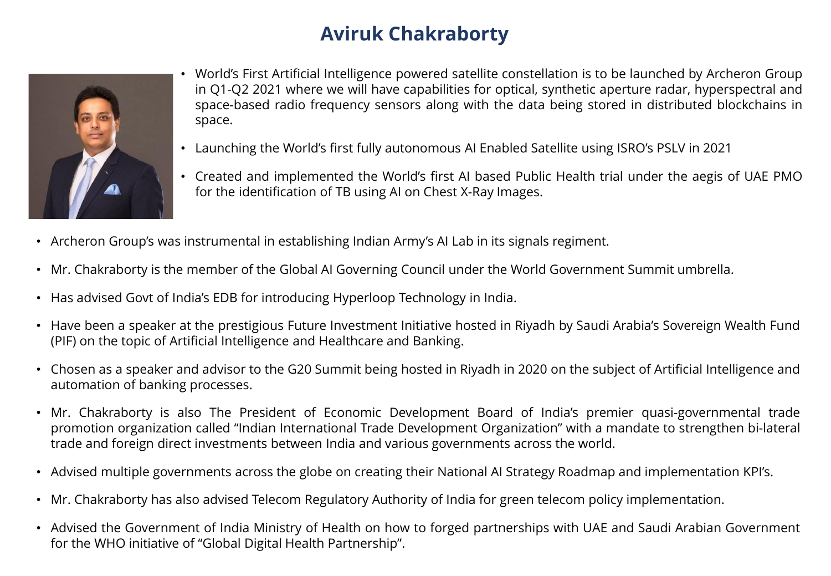

- World's First Artificial Intelligence powered satellite constellation is to be launched by Archeron Group in Q1-Q2 2021 where we will have capabilities for optical, synthetic aperture radar, hyperspectral and space-based radio frequency sensors along with the data being stored in distributed blockchains in space.
- Launching the World's first fully autonomous AI Enabled Satellite using ISRO's PSLV in 2021
- Created and implemented the World's first AI based Public Health trial under the aegis of UAE PMO for the identification of TB using AI on Chest X-Ray Images.
- Archeron Group's was instrumental in establishing Indian Army's AI Lab in its signals regiment.
- Mr. Chakraborty is the member of the Global AI Governing Council under the World Government Summit umbrella.
- Has advised Govt of India's EDB for introducing Hyperloop Technology in India.
- Have been a speaker at the prestigious Future Investment Initiative hosted in Riyadh by Saudi Arabia's Sovereign Wealth Fund (PIF) on the topic of Artificial Intelligence and Healthcare and Banking.
- Chosen as a speaker and advisor to the G20 Summit being hosted in Riyadh in 2020 on the subject of Artificial Intelligence and automation of banking processes.
- Mr. Chakraborty is also The President of Economic Development Board of India's premier quasi-governmental trade promotion organization called "Indian International Trade Development Organization" with a mandate to strengthen bi-lateral trade and foreign direct investments between India and various governments across the world.
- Advised multiple governments across the globe on creating their National AI Strategy Roadmap and implementation KPI's.
- Mr. Chakraborty has also advised Telecom Regulatory Authority of India for green telecom policy implementation.
- Advised the Government of India Ministry of Health on how to forged partnerships with UAE and Saudi Arabian Government for the WHO initiative of "Global Digital Health Partnership".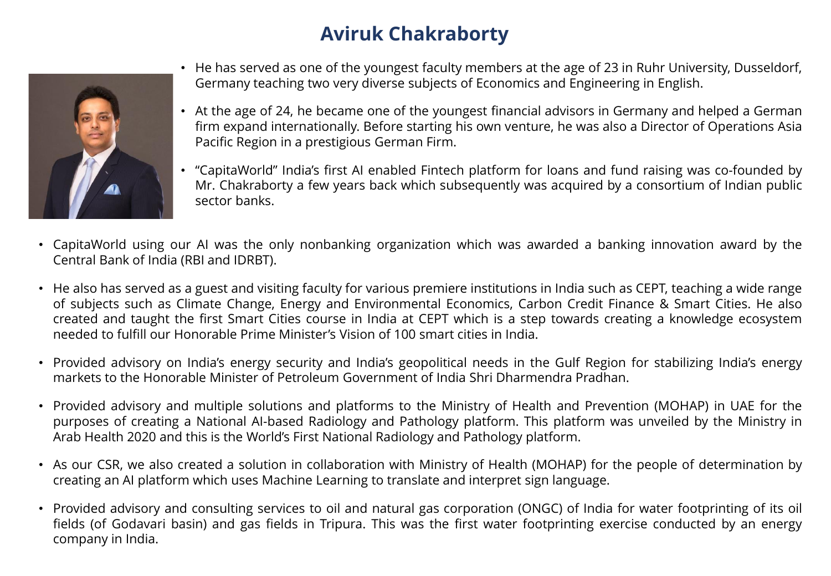

- He has served as one of the youngest faculty members at the age of 23 in Ruhr University, Dusseldorf, Germany teaching two very diverse subjects of Economics and Engineering in English.
- At the age of 24, he became one of the youngest financial advisors in Germany and helped a German firm expand internationally. Before starting his own venture, he was also a Director of Operations Asia Pacific Region in a prestigious German Firm.
- "CapitaWorld" India's first AI enabled Fintech platform for loans and fund raising was co-founded by Mr. Chakraborty a few years back which subsequently was acquired by a consortium of Indian public sector banks.
- CapitaWorld using our AI was the only nonbanking organization which was awarded a banking innovation award by the Central Bank of India (RBI and IDRBT).
- He also has served as a guest and visiting faculty for various premiere institutions in India such as CEPT, teaching a wide range of subjects such as Climate Change, Energy and Environmental Economics, Carbon Credit Finance & Smart Cities. He also created and taught the first Smart Cities course in India at CEPT which is a step towards creating a knowledge ecosystem needed to fulfill our Honorable Prime Minister's Vision of 100 smart cities in India.
- Provided advisory on India's energy security and India's geopolitical needs in the Gulf Region for stabilizing India's energy markets to the Honorable Minister of Petroleum Government of India Shri Dharmendra Pradhan.
- Provided advisory and multiple solutions and platforms to the Ministry of Health and Prevention (MOHAP) in UAE for the purposes of creating a National AI-based Radiology and Pathology platform. This platform was unveiled by the Ministry in Arab Health 2020 and this is the World's First National Radiology and Pathology platform.
- As our CSR, we also created a solution in collaboration with Ministry of Health (MOHAP) for the people of determination by creating an AI platform which uses Machine Learning to translate and interpret sign language.
- Provided advisory and consulting services to oil and natural gas corporation (ONGC) of India for water footprinting of its oil fields (of Godavari basin) and gas fields in Tripura. This was the first water footprinting exercise conducted by an energy company in India.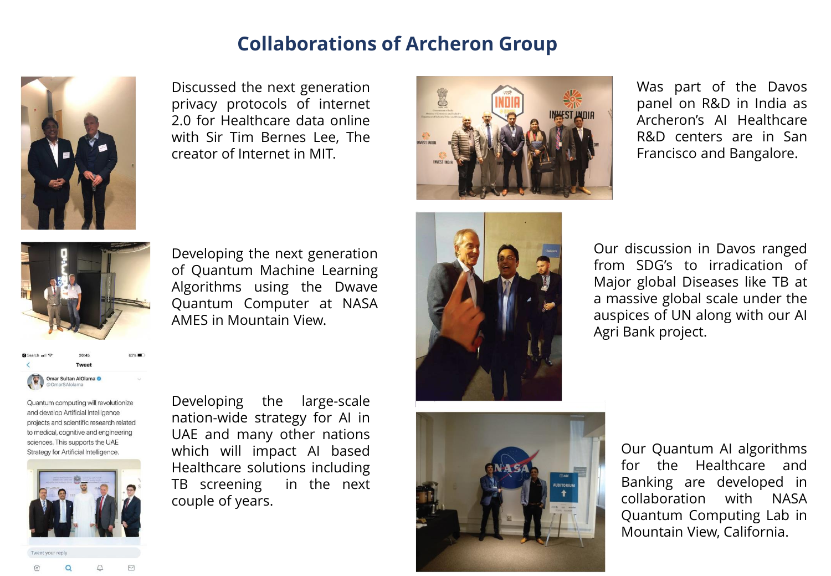

Discussed the next generation privacy protocols of internet 2.0 for Healthcare data online with Sir Tim Bernes Lee, The creator of Internet in MIT.



Was part of the Davos panel on R&D in India as Archeron's AI Healthcare R&D centers are in San Francisco and Bangalore.



Developing the next generation of Quantum Machine Learning Algorithms using the Dwave Quantum Computer at NASA AMES in Mountain View.

Omar Sultan AlOlama

Quantum computing will revolutionize and develop Artificial Intelligence projects and scientific research related to medical, cognitive and engineering sciences. This supports the UAE Strategy for Artificial Intelligence.



Developing the large-scale nation-wide strategy for AI in UAE and many other nations which will impact AI based Healthcare solutions including TB screening in the next couple of years.







Our Quantum AI algorithms for the Healthcare and Banking are developed in collaboration with NASA Quantum Computing Lab in Mountain View, California.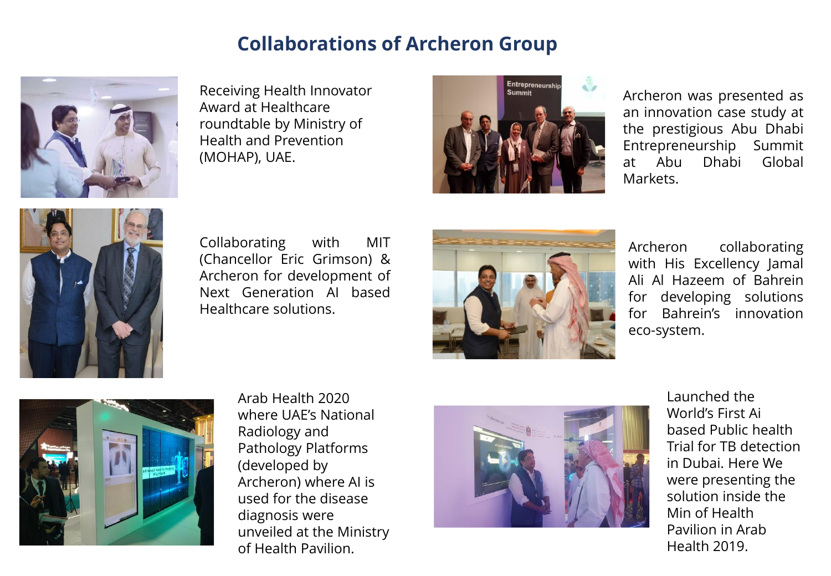

Receiving Health Innovator Award at Healthcare roundtable by Ministry of Health and Prevention (MOHAP), UAE.



Archeron was presented as an innovation case study at the prestigious Abu Dhabi Entrepreneurship Summit at Abu Dhabi Global Markets.



Collaborating with MIT (Chancellor Eric Grimson) & Archeron for development of Next Generation AI based Healthcare solutions.



Archeron collaborating with His Excellency Jamal Ali Al Hazeem of Bahrein for developing solutions for Bahrein's innovation eco-system.



Arab Health 2020 where UAE's National Radiology and Pathology Platforms (developed by Archeron) where AI is used for the disease diagnosis were unveiled at the Ministry of Health Pavilion.



Launched the World's First Ai based Public health Trial for TB detection in Dubai. Here We were presenting the solution inside the Min of Health Pavilion in Arab Health 2019.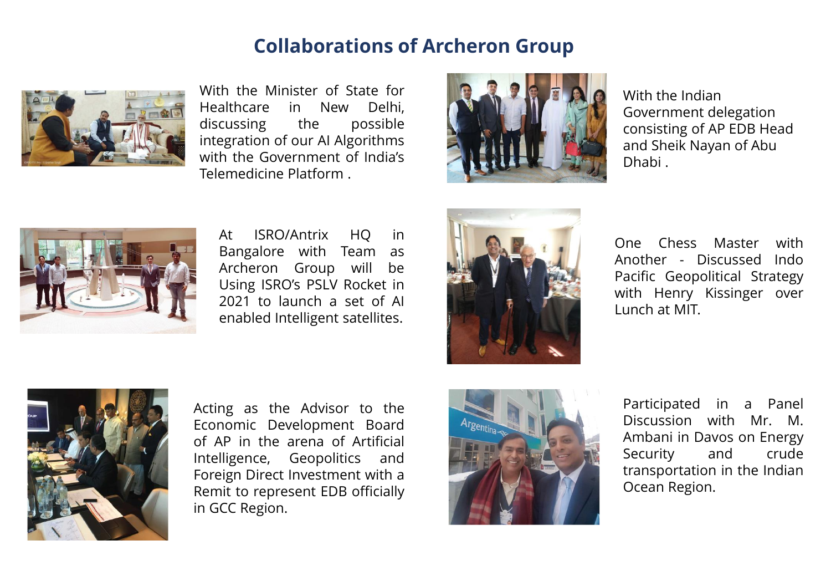

With the Minister of State for Healthcare in New Delhi, discussing the possible integration of our AI Algorithms with the Government of India's Telemedicine Platform .



With the Indian Government delegation consisting of AP EDB Head and Sheik Nayan of Abu Dhabi .



At ISRO/Antrix HQ in Bangalore with Team as Archeron Group will be Using ISRO's PSLV Rocket in 2021 to launch a set of AI enabled Intelligent satellites.



One Chess Master with Another - Discussed Indo Pacific Geopolitical Strategy with Henry Kissinger over Lunch at MIT.



Acting as the Advisor to the Economic Development Board of AP in the arena of Artificial Intelligence, Geopolitics and Foreign Direct Investment with a Remit to represent EDB officially in GCC Region.



Participated in a Panel Discussion with Mr. M. Ambani in Davos on Energy Security and crude transportation in the Indian Ocean Region.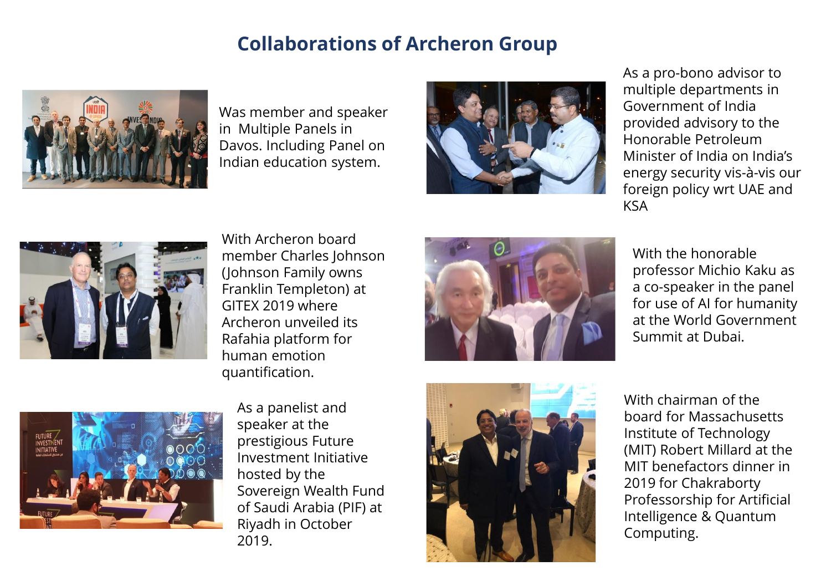

Was member and speaker in Multiple Panels in Davos. Including Panel on Indian education system.



As a pro-bono advisor to multiple departments in Government of India provided advisory to the Honorable Petroleum Minister of India on India's energy security vis-à-vis our foreign policy wrt UAE and KSA



With Archeron board member Charles Johnson (Johnson Family owns Franklin Templeton) at GITEX 2019 where Archeron unveiled its Rafahia platform for human emotion quantification.



With the honorable professor Michio Kaku as a co-speaker in the panel for use of AI for humanity at the World Government Summit at Dubai.



As a panelist and speaker at the prestigious Future Investment Initiative hosted by the Sovereign Wealth Fund of Saudi Arabia (PIF) at Riyadh in October 2019.



With chairman of the board for Massachusetts Institute of Technology (MIT) Robert Millard at the MIT benefactors dinner in 2019 for Chakraborty Professorship for Artificial Intelligence & Quantum Computing.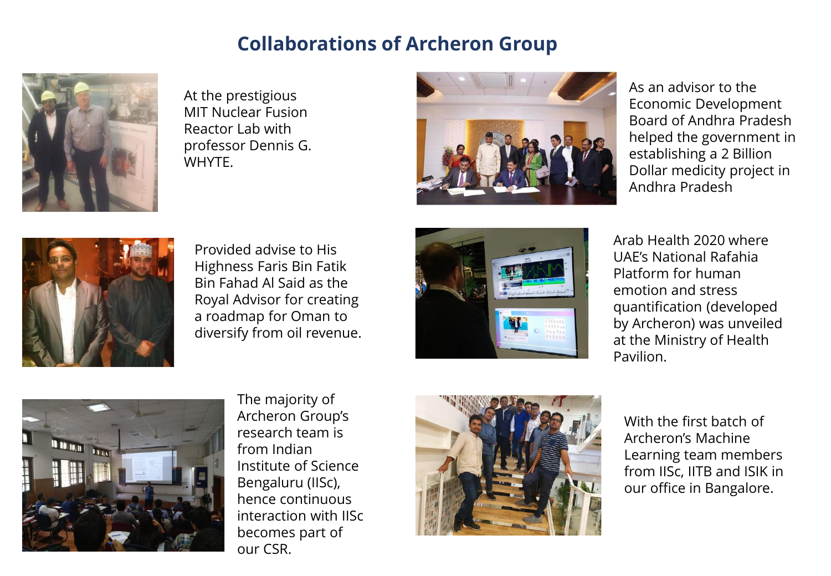

At the prestigious MIT Nuclear Fusion Reactor Lab with professor Dennis G. **WHYTE** 



As an advisor to the Economic Development Board of Andhra Pradesh helped the government in establishing a 2 Billion Dollar medicity project in Andhra Pradesh



Provided advise to His Highness Faris Bin Fatik Bin Fahad Al Said as the Royal Advisor for creating a roadmap for Oman to diversify from oil revenue.



Arab Health 2020 where UAE's National Rafahia Platform for human emotion and stress quantification (developed by Archeron) was unveiled at the Ministry of Health Pavilion.



The majority of Archeron Group's research team is from Indian Institute of Science Bengaluru (IISc), hence continuous interaction with IISc becomes part of our CSR.



With the first batch of Archeron's Machine Learning team members from IISc, IITB and ISIK in our office in Bangalore.